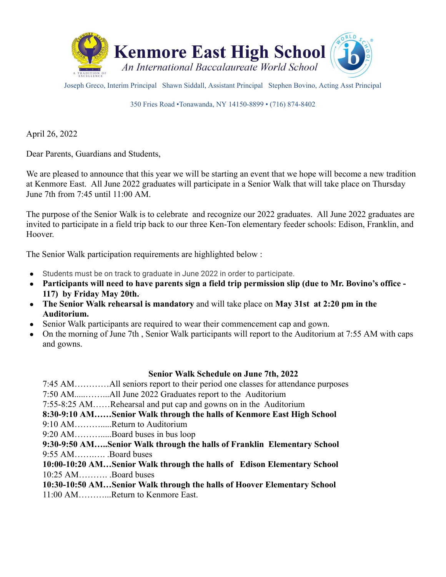

Joseph Greco, Interim Principal Shawn Siddall, Assistant Principal Stephen Bovino, Acting Asst Principal

350 Fries Road •Tonawanda, NY 14150-8899 • (716) 874-8402

April 26, 2022

Dear Parents, Guardians and Students,

We are pleased to announce that this year we will be starting an event that we hope will become a new tradition at Kenmore East. All June 2022 graduates will participate in a Senior Walk that will take place on Thursday June 7th from 7:45 until 11:00 AM.

The purpose of the Senior Walk is to celebrate and recognize our 2022 graduates. All June 2022 graduates are invited to participate in a field trip back to our three Ken-Ton elementary feeder schools: Edison, Franklin, and Hoover.

The Senior Walk participation requirements are highlighted below :

- Students must be on track to graduate in June 2022 in order to participate.
- **Participants will need to have parents sign a field trip permission slip (due to Mr. Bovino's office - 117) by Friday May 20th..**
- **The Senior Walk rehearsal is mandatory** and will take place on **May 31st at 2:20 pm in the Auditorium.**
- Senior Walk participants are required to wear their commencement cap and gown.
- On the morning of June 7th, Senior Walk participants will report to the Auditorium at 7:55 AM with caps and gowns.

## **Senior Walk Schedule on June 7th, 2022**

7:45 AM…………All seniors report to their period one classes for attendance purposes

7:50 AM.....……...All June 2022 Graduates report to the Auditorium

7:55-8:25 AM……Rehearsal and put cap and gowns on in the Auditorium

**8:30-9:10 AM……Senior Walk through the halls of Kenmore East High School**

9:10 AM……….....Return to Auditorium

9:20 AM……….....Board buses in bus loop

**9:30-9:50 AM…..Senior Walk through the halls of Franklin Elementary School** 9:55 AM…….…. .Board buses

**10:00-10:20 AM…Senior Walk through the halls of Edison Elementary School** 10:25 AM………. .Board buses

**10:30-10:50 AM…Senior Walk through the halls of Hoover Elementary School** 11:00 AM………...Return to Kenmore East.